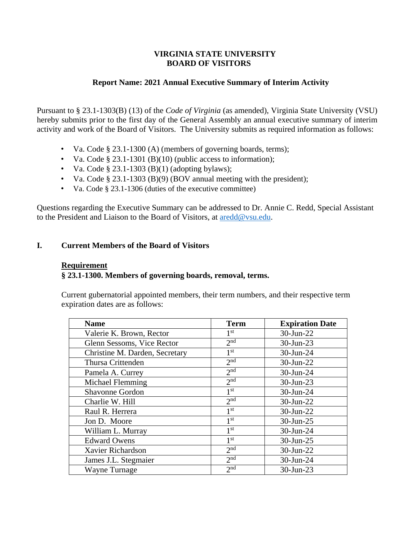# **VIRGINIA STATE UNIVERSITY BOARD OF VISITORS**

# **Report Name: 2021 Annual Executive Summary of Interim Activity**

Pursuant to § 23.1-1303(B) (13) of the *Code of Virginia* (as amended), Virginia State University (VSU) hereby submits prior to the first day of the General Assembly an annual executive summary of interim activity and work of the Board of Visitors. The University submits as required information as follows:

- Va. Code § 23.1-1300 (A) (members of governing boards, terms);
- Va. Code § 23.1-1301 (B)(10) (public access to information);
- Va. Code  $\S 23.1 1303$  (B)(1) (adopting bylaws);
- Va. Code § 23.1-1303 (B)(9) (BOV annual meeting with the president);
- Va. Code § 23.1-1306 (duties of the executive committee)

Questions regarding the Executive Summary can be addressed to Dr. Annie C. Redd, Special Assistant to the President and Liaison to the Board of Visitors, at [aredd@vsu.edu.](mailto:aredd@vsu.edu)

# **I. Current Members of the Board of Visitors**

## **Requirement**

# **§ 23.1-1300. Members of governing boards, removal, terms.**

Current gubernatorial appointed members, their term numbers, and their respective term expiration dates are as follows:

| <b>Name</b>                    | <b>Term</b>     | <b>Expiration Date</b> |
|--------------------------------|-----------------|------------------------|
| Valerie K. Brown, Rector       | 1 <sup>st</sup> | 30-Jun-22              |
| Glenn Sessoms, Vice Rector     | 2 <sub>nd</sub> | 30-Jun-23              |
| Christine M. Darden, Secretary | 1 <sup>st</sup> | 30-Jun-24              |
| Thursa Crittenden              | 2 <sub>nd</sub> | 30-Jun-22              |
| Pamela A. Currey               | 2 <sub>nd</sub> | 30-Jun-24              |
| Michael Flemming               | 2 <sub>nd</sub> | 30-Jun-23              |
| Shavonne Gordon                | 1 <sup>st</sup> | 30-Jun-24              |
| Charlie W. Hill                | 2 <sub>nd</sub> | 30-Jun-22              |
| Raul R. Herrera                | 1 <sup>st</sup> | 30-Jun-22              |
| Jon D. Moore                   | 1 <sup>st</sup> | 30-Jun-25              |
| William L. Murray              | 1 <sup>st</sup> | 30-Jun-24              |
| <b>Edward Owens</b>            | 1 <sup>st</sup> | 30-Jun-25              |
| Xavier Richardson              | 2 <sub>nd</sub> | 30-Jun-22              |
| James J.L. Stegmaier           | 2 <sub>nd</sub> | 30-Jun-24              |
| <b>Wayne Turnage</b>           | 2 <sub>nd</sub> | 30-Jun-23              |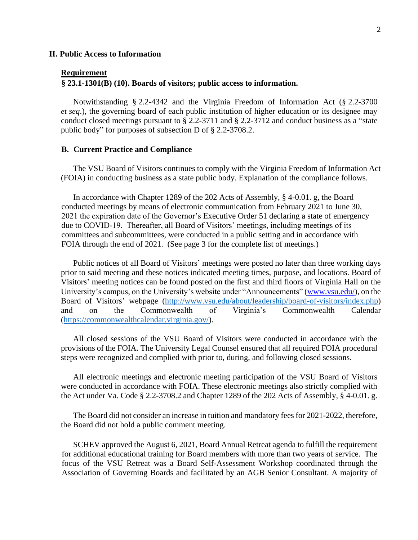### **II. Public Access to Information**

#### **Requirement**

### **§ 23.1-1301(B) (10). Boards of visitors; public access to information.**

Notwithstanding § [2.2-4342](http://lis.virginia.gov/cgi-bin/legp604.exe?000+cod+2.2-4342) and the Virginia Freedom of Information Act (§ [2.2-3700](http://lis.virginia.gov/cgi-bin/legp604.exe?000+cod+2.2-3700) *et seq*.), the governing board of each public institution of higher education or its designee may conduct closed meetings pursuant to § [2.2-3711](http://lis.virginia.gov/cgi-bin/legp604.exe?000+cod+2.2-3711) and § [2.2-3712](http://lis.virginia.gov/cgi-bin/legp604.exe?000+cod+2.2-3712) and conduct business as a "state public body" for purposes of subsection D of § [2.2-3708.2](http://lis.virginia.gov/cgi-bin/legp604.exe?000+cod+2.2-3708).

#### **B. Current Practice and Compliance**

The VSU Board of Visitors continues to comply with the Virginia Freedom of Information Act (FOIA) in conducting business as a state public body. Explanation of the compliance follows.

In accordance with Chapter 1289 of the 202 Acts of Assembly, § 4-0.01. g, the Board conducted meetings by means of electronic communication from February 2021 to June 30, 2021 the expiration date of the Governor's Executive Order 51 declaring a state of emergency due to COVID-19. Thereafter, all Board of Visitors' meetings, including meetings of its committees and subcommittees, were conducted in a public setting and in accordance with FOIA through the end of 2021. (See page 3 for the complete list of meetings.)

Public notices of all Board of Visitors' meetings were posted no later than three working days prior to said meeting and these notices indicated meeting times, purpose, and locations. Board of Visitors' meeting notices can be found posted on the first and third floors of Virginia Hall on the University's campus, on the University's website under "Announcements" [\(www.vsu.edu/\),](http://www.vsu.edu/) on the Board of Visitors' webpage [\(http://www.vsu.edu/about/leadership/board-of-visitors/index.php\)](http://www.vsu.edu/about/leadership/board-of-visitors/index.php) and on the Commonwealth of Virginia's Commonwealth Calendar [\(https://commonwealthcalendar.virginia.gov/\)](https://commonwealthcalendar.virginia.gov/).

All closed sessions of the VSU Board of Visitors were conducted in accordance with the provisions of the FOIA. The University Legal Counsel ensured that all required FOIA procedural steps were recognized and complied with prior to, during, and following closed sessions.

All electronic meetings and electronic meeting participation of the VSU Board of Visitors were conducted in accordance with FOIA. These electronic meetings also strictly complied with the Act under Va. Code § 2.2-3708.2 and Chapter 1289 of the 202 Acts of Assembly, § 4-0.01. g.

The Board did not consider an increase in tuition and mandatory fees for 2021-2022, therefore, the Board did not hold a public comment meeting.

SCHEV approved the August 6, 2021, Board Annual Retreat agenda to fulfill the requirement for additional educational training for Board members with more than two years of service. The focus of the VSU Retreat was a Board Self-Assessment Workshop coordinated through the Association of Governing Boards and facilitated by an AGB Senior Consultant. A majority of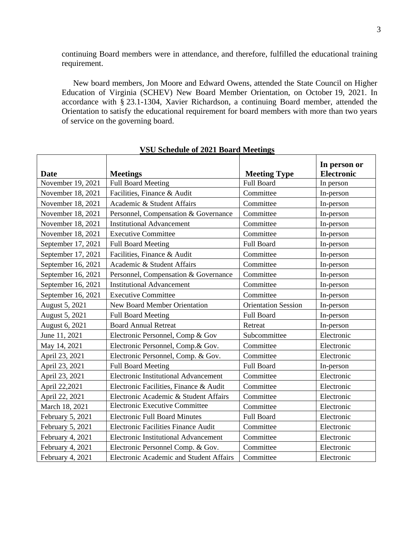continuing Board members were in attendance, and therefore, fulfilled the educational training requirement.

New board members, Jon Moore and Edward Owens, attended the State Council on Higher Education of Virginia (SCHEV) New Board Member Orientation, on October 19, 2021. In accordance with § 23.1-1304, Xavier Richardson, a continuing Board member, attended the Orientation to satisfy the educational requirement for board members with more than two years of service on the governing board.

|                    |                                             |                            | In person or      |
|--------------------|---------------------------------------------|----------------------------|-------------------|
| Date               | <b>Meetings</b>                             | <b>Meeting Type</b>        | <b>Electronic</b> |
| November 19, 2021  | <b>Full Board Meeting</b>                   | <b>Full Board</b>          | In person         |
| November 18, 2021  | Facilities, Finance & Audit                 | Committee                  | In-person         |
| November 18, 2021  | Academic & Student Affairs                  | Committee                  | In-person         |
| November 18, 2021  | Personnel, Compensation & Governance        | Committee                  | In-person         |
| November 18, 2021  | <b>Institutional Advancement</b>            | Committee                  | In-person         |
| November 18, 2021  | <b>Executive Committee</b>                  | Committee                  | In-person         |
| September 17, 2021 | <b>Full Board Meeting</b>                   | Full Board                 | In-person         |
| September 17, 2021 | Facilities, Finance & Audit                 | Committee                  | In-person         |
| September 16, 2021 | Academic & Student Affairs                  | Committee                  | In-person         |
| September 16, 2021 | Personnel, Compensation & Governance        | Committee                  | In-person         |
| September 16, 2021 | <b>Institutional Advancement</b>            | Committee                  | In-person         |
| September 16, 2021 | <b>Executive Committee</b>                  | Committee                  | In-person         |
| August 5, 2021     | <b>New Board Member Orientation</b>         | <b>Orientation Session</b> | In-person         |
| August 5, 2021     | <b>Full Board Meeting</b>                   | <b>Full Board</b>          | In-person         |
| August 6, 2021     | <b>Board Annual Retreat</b>                 | Retreat                    | In-person         |
| June 11, 2021      | Electronic Personnel, Comp & Gov            | Subcommittee               | Electronic        |
| May 14, 2021       | Electronic Personnel, Comp.& Gov.           | Committee                  | Electronic        |
| April 23, 2021     | Electronic Personnel, Comp. & Gov.          | Committee                  | Electronic        |
| April 23, 2021     | <b>Full Board Meeting</b>                   | Full Board                 | In-person         |
| April 23, 2021     | <b>Electronic Institutional Advancement</b> | Committee                  | Electronic        |
| April 22,2021      | Electronic Facilities, Finance & Audit      | Committee                  | Electronic        |
| April 22, 2021     | Electronic Academic & Student Affairs       | Committee                  | Electronic        |
| March 18, 2021     | <b>Electronic Executive Committee</b>       | Committee                  | Electronic        |
| February 5, 2021   | <b>Electronic Full Board Minutes</b>        | Full Board                 | Electronic        |
| February 5, 2021   | <b>Electronic Facilities Finance Audit</b>  | Committee                  | Electronic        |
| February 4, 2021   | <b>Electronic Institutional Advancement</b> | Committee                  | Electronic        |
| February 4, 2021   | Electronic Personnel Comp. & Gov.           | Committee                  | Electronic        |
| February 4, 2021   | Electronic Academic and Student Affairs     | Committee                  | Electronic        |

**VSU Schedule of 2021 Board Meetings**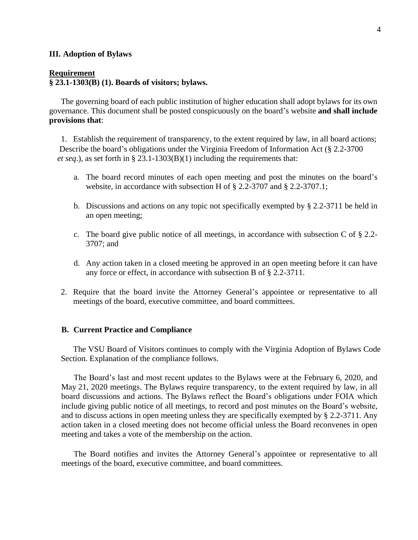#### **III. Adoption of Bylaws**

#### **Requirement**

# **§ 23.1-1303(B) (1). Boards of visitors; bylaws.**

The governing board of each public institution of higher education shall adopt bylaws for its own governance. This document shall be posted conspicuously on the board's website **and shall include provisions that**:

1. Establish the requirement of transparency, to the extent required by law, in all board actions; Describe the board's obligations under the Virginia Freedom of Information Act (§ [2.2-3700](http://lis.virginia.gov/cgi-bin/legp604.exe?000+cod+2.2-3700) *et seq*.), as set forth in § 23.1-1303(B)(1) including the requirements that:

- a. The board record minutes of each open meeting and post the minutes on the board's website, in accordance with subsection H of § [2.2-3707](http://lis.virginia.gov/cgi-bin/legp604.exe?000+cod+2.2-3707) and § [2.2-3707.1;](http://lis.virginia.gov/cgi-bin/legp604.exe?000+cod+2.2-3707.1)
- b. Discussions and actions on any topic not specifically exempted by § [2.2-3711](http://lis.virginia.gov/cgi-bin/legp604.exe?000+cod+2.2-3711) be held in an open meeting;
- c. The board give public notice of all meetings, in accordance with subsection C of § [2.2-](http://lis.virginia.gov/cgi-bin/legp604.exe?000+cod+2.2-3707) [3707;](http://lis.virginia.gov/cgi-bin/legp604.exe?000+cod+2.2-3707) and
- d. Any action taken in a closed meeting be approved in an open meeting before it can have any force or effect, in accordance with subsection B of § [2.2-3711.](http://lis.virginia.gov/cgi-bin/legp604.exe?000+cod+2.2-3711)
- 2. Require that the board invite the Attorney General's appointee or representative to all meetings of the board, executive committee, and board committees.

### **B. Current Practice and Compliance**

The VSU Board of Visitors continues to comply with the Virginia Adoption of Bylaws Code Section. Explanation of the compliance follows.

The Board's last and most recent updates to the Bylaws were at the February 6, 2020, and May 21, 2020 meetings. The Bylaws require transparency, to the extent required by law, in all board discussions and actions. The Bylaws reflect the Board's obligations under FOIA which include giving public notice of all meetings, to record and post minutes on the Board's website, and to discuss actions in open meeting unless they are specifically exempted by § [2.2-3711.](http://lis.virginia.gov/cgi-bin/legp604.exe?000+cod+2.2-3711) Any action taken in a closed meeting does not become official unless the Board reconvenes in open meeting and takes a vote of the membership on the action.

The Board notifies and invites the Attorney General's appointee or representative to all meetings of the board, executive committee, and board committees.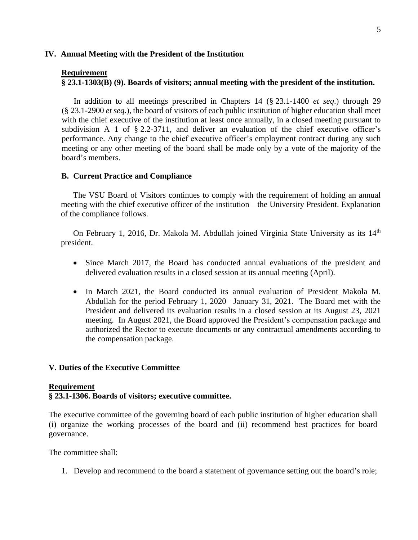## **IV. Annual Meeting with the President of the Institution**

#### **Requirement**

## **§ 23.1-1303(B) (9). Boards of visitors; annual meeting with the president of the institution.**

In addition to all meetings prescribed in Chapters 14 (§ [23.1](http://lis.virginia.gov/cgi-bin/legp604.exe?000+cod+23-39)-1400 *et seq*.) through 29 (§ 23.1-2900 *et seq*.), the board of visitors of each public institution of higher education shall meet with the chief executive of the institution at least once annually, in a closed meeting pursuant to subdivision A 1 of § [2.2-3711,](http://lis.virginia.gov/cgi-bin/legp604.exe?000+cod+2.2-3711) and deliver an evaluation of the chief executive officer's performance. Any change to the chief executive officer's employment contract during any such meeting or any other meeting of the board shall be made only by a vote of the majority of the board's members.

### **B. Current Practice and Compliance**

The VSU Board of Visitors continues to comply with the requirement of holding an annual meeting with the chief executive officer of the institution—the University President. Explanation of the compliance follows.

On February 1, 2016, Dr. Makola M. Abdullah joined Virginia State University as its 14<sup>th</sup> president.

- Since March 2017, the Board has conducted annual evaluations of the president and delivered evaluation results in a closed session at its annual meeting (April).
- In March 2021, the Board conducted its annual evaluation of President Makola M. Abdullah for the period February 1, 2020– January 31, 2021. The Board met with the President and delivered its evaluation results in a closed session at its August 23, 2021 meeting. In August 2021, the Board approved the President's compensation package and authorized the Rector to execute documents or any contractual amendments according to the compensation package.

## **V. Duties of the Executive Committee**

### **Requirement**

# **§ 23.1-1306. Boards of visitors; executive committee.**

The executive committee of the governing board of each public institution of higher education shall (i) organize the working processes of the board and (ii) recommend best practices for board governance.

The committee shall:

1. Develop and recommend to the board a statement of governance setting out the board's role;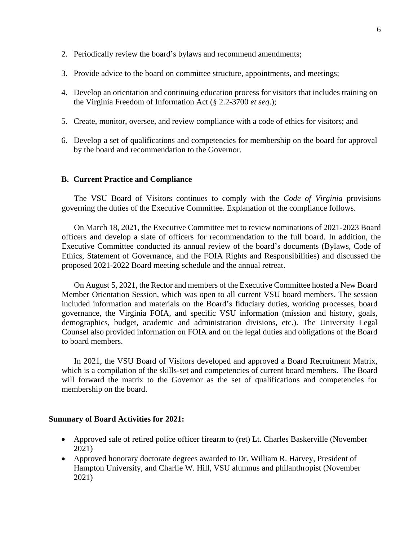- 2. Periodically review the board's bylaws and recommend amendments;
- 3. Provide advice to the board on committee structure, appointments, and meetings;
- 4. Develop an orientation and continuing education process for visitors that includes training on the Virginia Freedom of Information Act (§ [2.2-3700](http://lis.virginia.gov/cgi-bin/legp604.exe?000+cod+2.2-3700) *et seq*.);
- 5. Create, monitor, oversee, and review compliance with a code of ethics for visitors; and
- 6. Develop a set of qualifications and competencies for membership on the board for approval by the board and recommendation to the Governor.

## **B. Current Practice and Compliance**

The VSU Board of Visitors continues to comply with the *Code of Virginia* provisions governing the duties of the Executive Committee. Explanation of the compliance follows.

On March 18, 2021, the Executive Committee met to review nominations of 2021-2023 Board officers and develop a slate of officers for recommendation to the full board. In addition, the Executive Committee conducted its annual review of the board's documents (Bylaws, Code of Ethics, Statement of Governance, and the FOIA Rights and Responsibilities) and discussed the proposed 2021-2022 Board meeting schedule and the annual retreat.

On August 5, 2021, the Rector and members of the Executive Committee hosted a New Board Member Orientation Session, which was open to all current VSU board members. The session included information and materials on the Board's fiduciary duties, working processes, board governance, the Virginia FOIA, and specific VSU information (mission and history, goals, demographics, budget, academic and administration divisions, etc.). The University Legal Counsel also provided information on FOIA and on the legal duties and obligations of the Board to board members.

In 2021, the VSU Board of Visitors developed and approved a Board Recruitment Matrix, which is a compilation of the skills-set and competencies of current board members. The Board will forward the matrix to the Governor as the set of qualifications and competencies for membership on the board.

### **Summary of Board Activities for 2021:**

- Approved sale of retired police officer firearm to (ret) Lt. Charles Baskerville (November 2021)
- Approved honorary doctorate degrees awarded to Dr. William R. Harvey, President of Hampton University, and Charlie W. Hill, VSU alumnus and philanthropist (November 2021)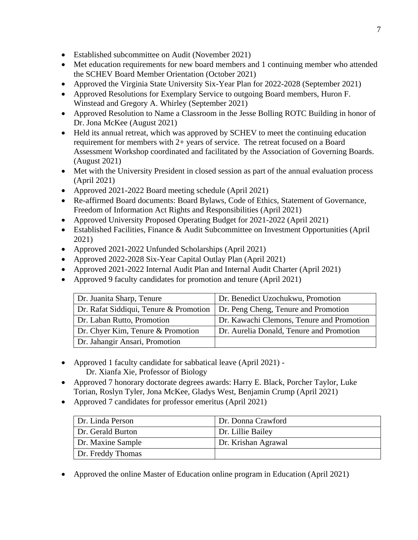- Established subcommittee on Audit (November 2021)
- Met education requirements for new board members and 1 continuing member who attended the SCHEV Board Member Orientation (October 2021)
- Approved the Virginia State University Six-Year Plan for 2022-2028 (September 2021)
- Approved Resolutions for Exemplary Service to outgoing Board members, Huron F. Winstead and Gregory A. Whirley (September 2021)
- Approved Resolution to Name a Classroom in the Jesse Bolling ROTC Building in honor of Dr. Jona McKee (August 2021)
- Held its annual retreat, which was approved by SCHEV to meet the continuing education requirement for members with 2+ years of service. The retreat focused on a Board Assessment Workshop coordinated and facilitated by the Association of Governing Boards. (August 2021)
- Met with the University President in closed session as part of the annual evaluation process (April 2021)
- Approved 2021-2022 Board meeting schedule (April 2021)
- Re-affirmed Board documents: Board Bylaws, Code of Ethics, Statement of Governance, Freedom of Information Act Rights and Responsibilities (April 2021)
- Approved University Proposed Operating Budget for 2021-2022 (April 2021)
- Established Facilities, Finance & Audit Subcommittee on Investment Opportunities (April 2021)
- Approved 2021-2022 Unfunded Scholarships (April 2021)
- Approved 2022-2028 Six-Year Capital Outlay Plan (April 2021)
- Approved 2021-2022 Internal Audit Plan and Internal Audit Charter (April 2021)
- Approved 9 faculty candidates for promotion and tenure (April 2021)

| Dr. Juanita Sharp, Tenure              | Dr. Benedict Uzochukwu, Promotion         |
|----------------------------------------|-------------------------------------------|
| Dr. Rafat Siddiqui, Tenure & Promotion | Dr. Peng Cheng, Tenure and Promotion      |
| Dr. Laban Rutto, Promotion             | Dr. Kawachi Clemons, Tenure and Promotion |
| Dr. Chyer Kim, Tenure & Promotion      | Dr. Aurelia Donald, Tenure and Promotion  |
| Dr. Jahangir Ansari, Promotion         |                                           |

- Approved 1 faculty candidate for sabbatical leave (April 2021) Dr. Xianfa Xie, Professor of Biology
- Approved 7 honorary doctorate degrees awards: Harry E. Black, Porcher Taylor, Luke Torian, Roslyn Tyler, Jona McKee, Gladys West, Benjamin Crump (April 2021)
- Approved 7 candidates for professor emeritus (April 2021)

| Dr. Linda Person  | Dr. Donna Crawford  |
|-------------------|---------------------|
| Dr. Gerald Burton | Dr. Lillie Bailey   |
| Dr. Maxine Sample | Dr. Krishan Agrawal |
| Dr. Freddy Thomas |                     |

• Approved the online Master of Education online program in Education (April 2021)